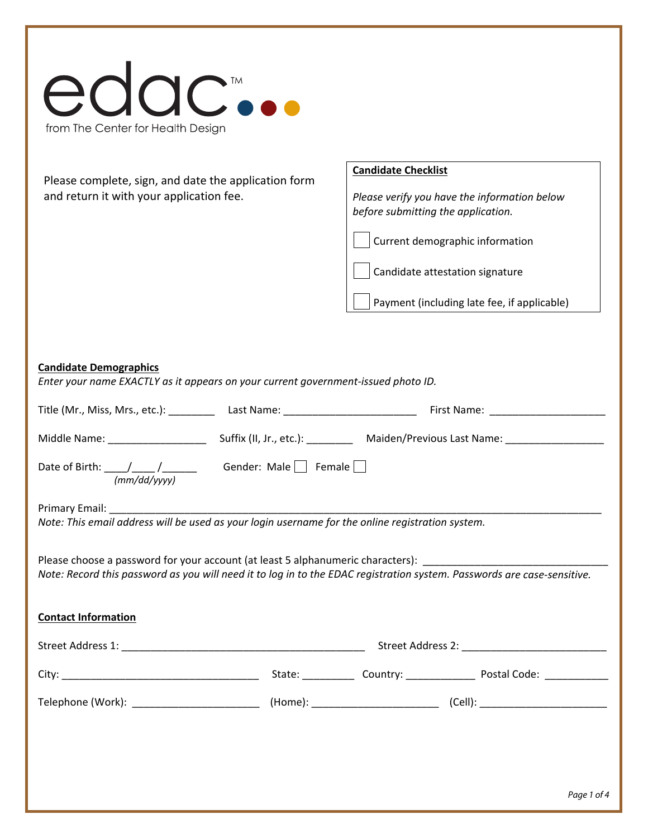|                                                                                                                    | <b>Candidate Checklist</b>                                                                                              |  |  |
|--------------------------------------------------------------------------------------------------------------------|-------------------------------------------------------------------------------------------------------------------------|--|--|
| Please complete, sign, and date the application form<br>and return it with your application fee.                   | Please verify you have the information below                                                                            |  |  |
|                                                                                                                    | before submitting the application.                                                                                      |  |  |
|                                                                                                                    | Current demographic information                                                                                         |  |  |
|                                                                                                                    | Candidate attestation signature                                                                                         |  |  |
|                                                                                                                    | Payment (including late fee, if applicable)                                                                             |  |  |
|                                                                                                                    |                                                                                                                         |  |  |
| <b>Candidate Demographics</b><br>Enter your name EXACTLY as it appears on your current government-issued photo ID. |                                                                                                                         |  |  |
|                                                                                                                    |                                                                                                                         |  |  |
|                                                                                                                    |                                                                                                                         |  |  |
|                                                                                                                    |                                                                                                                         |  |  |
| Primary Email:                                                                                                     |                                                                                                                         |  |  |
| Note: This email address will be used as your login username for the online registration system.                   |                                                                                                                         |  |  |
|                                                                                                                    | Please choose a password for your account (at least 5 alphanumeric characters):                                         |  |  |
|                                                                                                                    | Note: Record this password as you will need it to log in to the EDAC registration system. Passwords are case-sensitive. |  |  |
| <b>Contact Information</b>                                                                                         |                                                                                                                         |  |  |
|                                                                                                                    |                                                                                                                         |  |  |
|                                                                                                                    |                                                                                                                         |  |  |
|                                                                                                                    |                                                                                                                         |  |  |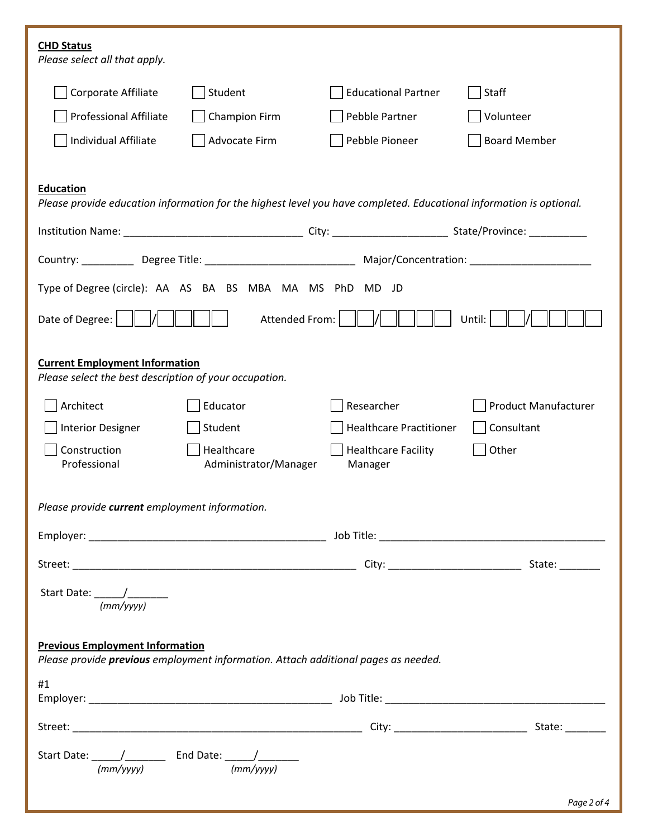| <b>CHD Status</b><br>Please select all that apply.                                                                                      |                                     |                                       |                             |  |  |  |  |  |
|-----------------------------------------------------------------------------------------------------------------------------------------|-------------------------------------|---------------------------------------|-----------------------------|--|--|--|--|--|
| Corporate Affiliate                                                                                                                     | Student                             | <b>Educational Partner</b>            | Staff                       |  |  |  |  |  |
| <b>Professional Affiliate</b>                                                                                                           | Champion Firm                       | Pebble Partner                        | Volunteer                   |  |  |  |  |  |
| Individual Affiliate                                                                                                                    | Advocate Firm                       | Pebble Pioneer                        | <b>Board Member</b>         |  |  |  |  |  |
|                                                                                                                                         |                                     |                                       |                             |  |  |  |  |  |
| <b>Education</b><br>Please provide education information for the highest level you have completed. Educational information is optional. |                                     |                                       |                             |  |  |  |  |  |
|                                                                                                                                         |                                     |                                       |                             |  |  |  |  |  |
|                                                                                                                                         |                                     |                                       |                             |  |  |  |  |  |
| Type of Degree (circle): AA AS BA BS MBA MA MS PhD MD JD                                                                                |                                     |                                       |                             |  |  |  |  |  |
| Attended From:<br>Date of Degree:<br>Until:                                                                                             |                                     |                                       |                             |  |  |  |  |  |
| <b>Current Employment Information</b><br>Please select the best description of your occupation.                                         |                                     |                                       |                             |  |  |  |  |  |
| Architect                                                                                                                               | Educator                            | Researcher                            | <b>Product Manufacturer</b> |  |  |  |  |  |
| <b>Interior Designer</b>                                                                                                                | Student                             | <b>Healthcare Practitioner</b>        | Consultant                  |  |  |  |  |  |
| Construction<br>Professional                                                                                                            | Healthcare<br>Administrator/Manager | <b>Healthcare Facility</b><br>Manager | Other                       |  |  |  |  |  |
| Please provide current employment information.                                                                                          |                                     |                                       |                             |  |  |  |  |  |
|                                                                                                                                         |                                     |                                       |                             |  |  |  |  |  |
|                                                                                                                                         |                                     |                                       |                             |  |  |  |  |  |
|                                                                                                                                         |                                     |                                       |                             |  |  |  |  |  |
| <b>Previous Employment Information</b><br>Please provide previous employment information. Attach additional pages as needed.            |                                     |                                       |                             |  |  |  |  |  |
| #1                                                                                                                                      |                                     |                                       |                             |  |  |  |  |  |
|                                                                                                                                         |                                     |                                       |                             |  |  |  |  |  |
|                                                                                                                                         |                                     |                                       |                             |  |  |  |  |  |
| Start Date: $\frac{1}{(mm/vvvv)}$ End Date: $\frac{1}{(mm/vyyy)}$                                                                       |                                     |                                       |                             |  |  |  |  |  |
|                                                                                                                                         |                                     |                                       | Page 2 of 4                 |  |  |  |  |  |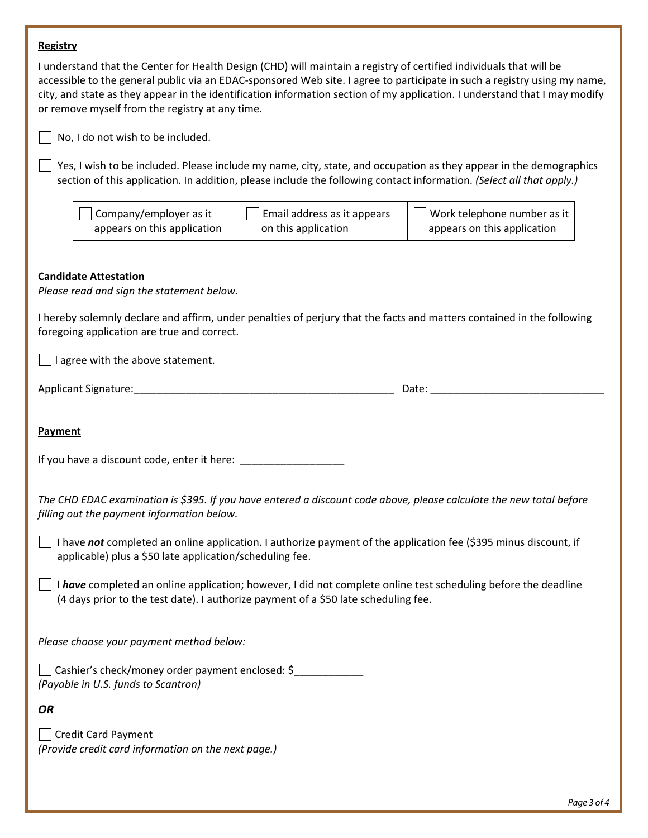## **Registry**

| <b>NESBUY</b>                                                                                                                                                                                         |                                                    |                                                                                                                                                                                                                                                         |
|-------------------------------------------------------------------------------------------------------------------------------------------------------------------------------------------------------|----------------------------------------------------|---------------------------------------------------------------------------------------------------------------------------------------------------------------------------------------------------------------------------------------------------------|
| I understand that the Center for Health Design (CHD) will maintain a registry of certified individuals that will be<br>or remove myself from the registry at any time.                                |                                                    | accessible to the general public via an EDAC-sponsored Web site. I agree to participate in such a registry using my name,<br>city, and state as they appear in the identification information section of my application. I understand that I may modify |
| No, I do not wish to be included.                                                                                                                                                                     |                                                    |                                                                                                                                                                                                                                                         |
| section of this application. In addition, please include the following contact information. (Select all that apply.)                                                                                  |                                                    | Yes, I wish to be included. Please include my name, city, state, and occupation as they appear in the demographics                                                                                                                                      |
| Company/employer as it<br>appears on this application                                                                                                                                                 | Email address as it appears<br>on this application | Work telephone number as it<br>appears on this application                                                                                                                                                                                              |
| <b>Candidate Attestation</b><br>Please read and sign the statement below.                                                                                                                             |                                                    |                                                                                                                                                                                                                                                         |
| I hereby solemnly declare and affirm, under penalties of perjury that the facts and matters contained in the following<br>foregoing application are true and correct.                                 |                                                    |                                                                                                                                                                                                                                                         |
| I agree with the above statement.                                                                                                                                                                     |                                                    |                                                                                                                                                                                                                                                         |
|                                                                                                                                                                                                       |                                                    | Date: the contract of the contract of the contract of the contract of the contract of the contract of the contract of the contract of the contract of the contract of the contract of the contract of the contract of the cont                          |
| Payment                                                                                                                                                                                               |                                                    |                                                                                                                                                                                                                                                         |
| The CHD EDAC examination is \$395. If you have entered a discount code above, please calculate the new total before<br>filling out the payment information below.                                     |                                                    |                                                                                                                                                                                                                                                         |
| I have not completed an online application. I authorize payment of the application fee (\$395 minus discount, if<br>applicable) plus a \$50 late application/scheduling fee.                          |                                                    |                                                                                                                                                                                                                                                         |
| I have completed an online application; however, I did not complete online test scheduling before the deadline<br>(4 days prior to the test date). I authorize payment of a \$50 late scheduling fee. |                                                    |                                                                                                                                                                                                                                                         |
| Please choose your payment method below:                                                                                                                                                              |                                                    |                                                                                                                                                                                                                                                         |
| Cashier's check/money order payment enclosed: \$<br>(Payable in U.S. funds to Scantron)                                                                                                               |                                                    |                                                                                                                                                                                                                                                         |
| <b>OR</b>                                                                                                                                                                                             |                                                    |                                                                                                                                                                                                                                                         |
| <b>Credit Card Payment</b><br>(Provide credit card information on the next page.)                                                                                                                     |                                                    |                                                                                                                                                                                                                                                         |